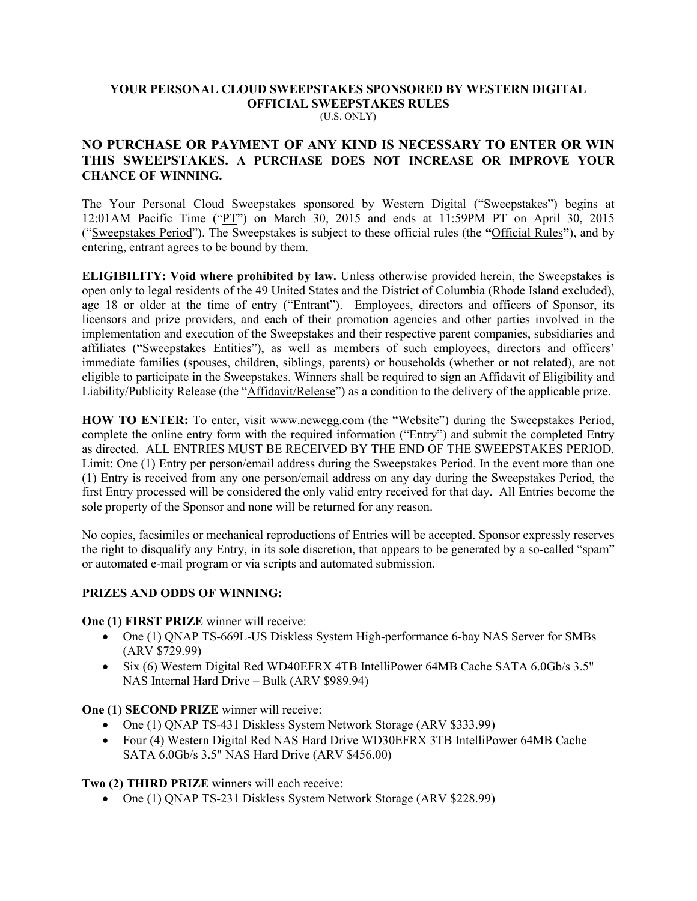## **YOUR PERSONAL CLOUD SWEEPSTAKES SPONSORED BY WESTERN DIGITAL OFFICIAL SWEEPSTAKES RULES**  (U.S. ONLY)

## **NO PURCHASE OR PAYMENT OF ANY KIND IS NECESSARY TO ENTER OR WIN THIS SWEEPSTAKES. A PURCHASE DOES NOT INCREASE OR IMPROVE YOUR CHANCE OF WINNING.**

The Your Personal Cloud Sweepstakes sponsored by Western Digital ("Sweepstakes") begins at 12:01AM Pacific Time ("PT") on March 30, 2015 and ends at 11:59PM PT on April 30, 2015 ("Sweepstakes Period"). The Sweepstakes is subject to these official rules (the **"**Official Rules**"**), and by entering, entrant agrees to be bound by them.

**ELIGIBILITY: Void where prohibited by law.** Unless otherwise provided herein, the Sweepstakes is open only to legal residents of the 49 United States and the District of Columbia (Rhode Island excluded), age 18 or older at the time of entry ("Entrant"). Employees, directors and officers of Sponsor, its licensors and prize providers, and each of their promotion agencies and other parties involved in the implementation and execution of the Sweepstakes and their respective parent companies, subsidiaries and affiliates ("Sweepstakes Entities"), as well as members of such employees, directors and officers' immediate families (spouses, children, siblings, parents) or households (whether or not related), are not eligible to participate in the Sweepstakes. Winners shall be required to sign an Affidavit of Eligibility and Liability/Publicity Release (the "Affidavit/Release") as a condition to the delivery of the applicable prize.

**HOW TO ENTER:** To enter, visit www.newegg.com (the "Website") during the Sweepstakes Period, complete the online entry form with the required information ("Entry") and submit the completed Entry as directed. ALL ENTRIES MUST BE RECEIVED BY THE END OF THE SWEEPSTAKES PERIOD. Limit: One (1) Entry per person/email address during the Sweepstakes Period. In the event more than one (1) Entry is received from any one person/email address on any day during the Sweepstakes Period, the first Entry processed will be considered the only valid entry received for that day. All Entries become the sole property of the Sponsor and none will be returned for any reason.

No copies, facsimiles or mechanical reproductions of Entries will be accepted. Sponsor expressly reserves the right to disqualify any Entry, in its sole discretion, that appears to be generated by a so-called "spam" or automated e-mail program or via scripts and automated submission.

## **PRIZES AND ODDS OF WINNING:**

**One (1) FIRST PRIZE** winner will receive:

- One (1) ONAP TS-669L-US Diskless System High-performance 6-bay NAS Server for SMBs (ARV \$729.99)
- Six (6) Western Digital Red WD40EFRX 4TB IntelliPower 64MB Cache SATA 6.0Gb/s 3.5" NAS Internal Hard Drive – Bulk (ARV \$989.94)

**One (1) SECOND PRIZE** winner will receive:

- One (1) QNAP TS-431 Diskless System Network Storage (ARV \$333.99)
- Four (4) Western Digital Red NAS Hard Drive WD30EFRX 3TB IntelliPower 64MB Cache SATA 6.0Gb/s 3.5" NAS Hard Drive (ARV \$456.00)

**Two (2) THIRD PRIZE** winners will each receive:

• One (1) QNAP TS-231 Diskless System Network Storage (ARV \$228.99)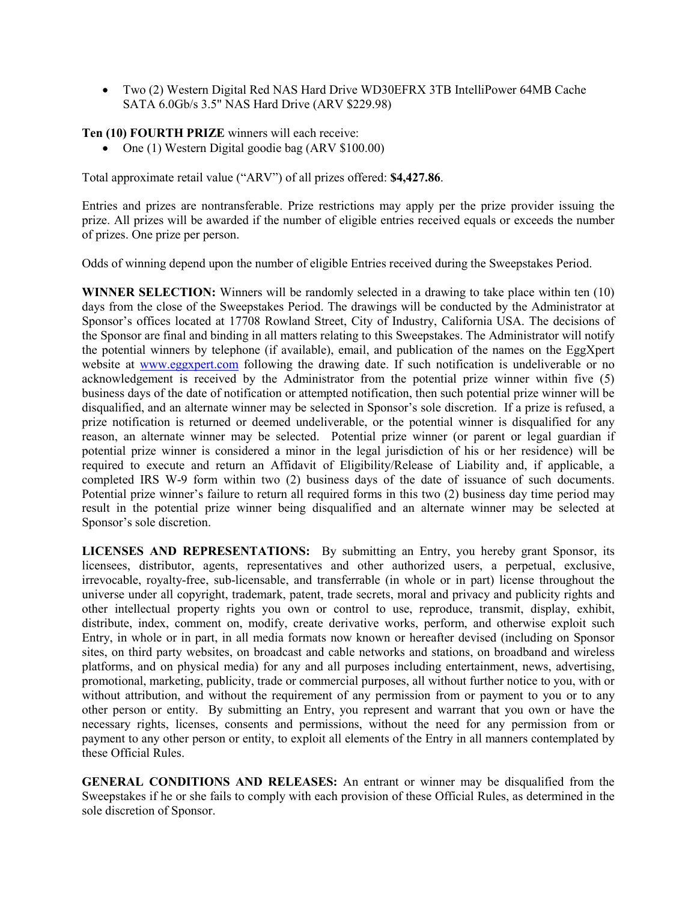• Two (2) Western Digital Red NAS Hard Drive WD30EFRX 3TB IntelliPower 64MB Cache SATA 6.0Gb/s 3.5" NAS Hard Drive (ARV \$229.98)

**Ten (10) FOURTH PRIZE** winners will each receive:

• One (1) Western Digital goodie bag (ARV \$100.00)

Total approximate retail value ("ARV") of all prizes offered: **\$4,427.86**.

Entries and prizes are nontransferable. Prize restrictions may apply per the prize provider issuing the prize. All prizes will be awarded if the number of eligible entries received equals or exceeds the number of prizes. One prize per person.

Odds of winning depend upon the number of eligible Entries received during the Sweepstakes Period.

**WINNER SELECTION:** Winners will be randomly selected in a drawing to take place within ten (10) days from the close of the Sweepstakes Period. The drawings will be conducted by the Administrator at Sponsor's offices located at 17708 Rowland Street, City of Industry, California USA. The decisions of the Sponsor are final and binding in all matters relating to this Sweepstakes. The Administrator will notify the potential winners by telephone (if available), email, and publication of the names on the EggXpert website at www.eggxpert.com following the drawing date. If such notification is undeliverable or no acknowledgement is received by the Administrator from the potential prize winner within five (5) business days of the date of notification or attempted notification, then such potential prize winner will be disqualified, and an alternate winner may be selected in Sponsor's sole discretion. If a prize is refused, a prize notification is returned or deemed undeliverable, or the potential winner is disqualified for any reason, an alternate winner may be selected. Potential prize winner (or parent or legal guardian if potential prize winner is considered a minor in the legal jurisdiction of his or her residence) will be required to execute and return an Affidavit of Eligibility/Release of Liability and, if applicable, a completed IRS W-9 form within two (2) business days of the date of issuance of such documents. Potential prize winner's failure to return all required forms in this two (2) business day time period may result in the potential prize winner being disqualified and an alternate winner may be selected at Sponsor's sole discretion.

**LICENSES AND REPRESENTATIONS:** By submitting an Entry, you hereby grant Sponsor, its licensees, distributor, agents, representatives and other authorized users, a perpetual, exclusive, irrevocable, royalty-free, sub-licensable, and transferrable (in whole or in part) license throughout the universe under all copyright, trademark, patent, trade secrets, moral and privacy and publicity rights and other intellectual property rights you own or control to use, reproduce, transmit, display, exhibit, distribute, index, comment on, modify, create derivative works, perform, and otherwise exploit such Entry, in whole or in part, in all media formats now known or hereafter devised (including on Sponsor sites, on third party websites, on broadcast and cable networks and stations, on broadband and wireless platforms, and on physical media) for any and all purposes including entertainment, news, advertising, promotional, marketing, publicity, trade or commercial purposes, all without further notice to you, with or without attribution, and without the requirement of any permission from or payment to you or to any other person or entity. By submitting an Entry, you represent and warrant that you own or have the necessary rights, licenses, consents and permissions, without the need for any permission from or payment to any other person or entity, to exploit all elements of the Entry in all manners contemplated by these Official Rules.

**GENERAL CONDITIONS AND RELEASES:** An entrant or winner may be disqualified from the Sweepstakes if he or she fails to comply with each provision of these Official Rules, as determined in the sole discretion of Sponsor.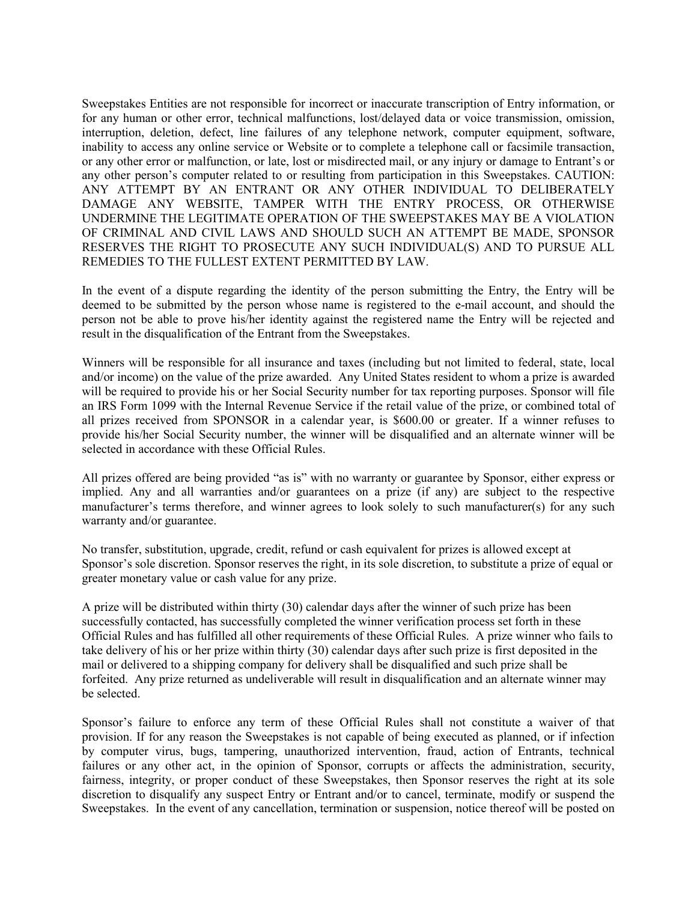Sweepstakes Entities are not responsible for incorrect or inaccurate transcription of Entry information, or for any human or other error, technical malfunctions, lost/delayed data or voice transmission, omission, interruption, deletion, defect, line failures of any telephone network, computer equipment, software, inability to access any online service or Website or to complete a telephone call or facsimile transaction, or any other error or malfunction, or late, lost or misdirected mail, or any injury or damage to Entrant's or any other person's computer related to or resulting from participation in this Sweepstakes. CAUTION: ANY ATTEMPT BY AN ENTRANT OR ANY OTHER INDIVIDUAL TO DELIBERATELY DAMAGE ANY WEBSITE, TAMPER WITH THE ENTRY PROCESS, OR OTHERWISE UNDERMINE THE LEGITIMATE OPERATION OF THE SWEEPSTAKES MAY BE A VIOLATION OF CRIMINAL AND CIVIL LAWS AND SHOULD SUCH AN ATTEMPT BE MADE, SPONSOR RESERVES THE RIGHT TO PROSECUTE ANY SUCH INDIVIDUAL(S) AND TO PURSUE ALL REMEDIES TO THE FULLEST EXTENT PERMITTED BY LAW.

In the event of a dispute regarding the identity of the person submitting the Entry, the Entry will be deemed to be submitted by the person whose name is registered to the e-mail account, and should the person not be able to prove his/her identity against the registered name the Entry will be rejected and result in the disqualification of the Entrant from the Sweepstakes.

Winners will be responsible for all insurance and taxes (including but not limited to federal, state, local and/or income) on the value of the prize awarded. Any United States resident to whom a prize is awarded will be required to provide his or her Social Security number for tax reporting purposes. Sponsor will file an IRS Form 1099 with the Internal Revenue Service if the retail value of the prize, or combined total of all prizes received from SPONSOR in a calendar year, is \$600.00 or greater. If a winner refuses to provide his/her Social Security number, the winner will be disqualified and an alternate winner will be selected in accordance with these Official Rules.

All prizes offered are being provided "as is" with no warranty or guarantee by Sponsor, either express or implied. Any and all warranties and/or guarantees on a prize (if any) are subject to the respective manufacturer's terms therefore, and winner agrees to look solely to such manufacturer(s) for any such warranty and/or guarantee.

No transfer, substitution, upgrade, credit, refund or cash equivalent for prizes is allowed except at Sponsor's sole discretion. Sponsor reserves the right, in its sole discretion, to substitute a prize of equal or greater monetary value or cash value for any prize.

A prize will be distributed within thirty (30) calendar days after the winner of such prize has been successfully contacted, has successfully completed the winner verification process set forth in these Official Rules and has fulfilled all other requirements of these Official Rules. A prize winner who fails to take delivery of his or her prize within thirty (30) calendar days after such prize is first deposited in the mail or delivered to a shipping company for delivery shall be disqualified and such prize shall be forfeited. Any prize returned as undeliverable will result in disqualification and an alternate winner may be selected.

Sponsor's failure to enforce any term of these Official Rules shall not constitute a waiver of that provision. If for any reason the Sweepstakes is not capable of being executed as planned, or if infection by computer virus, bugs, tampering, unauthorized intervention, fraud, action of Entrants, technical failures or any other act, in the opinion of Sponsor, corrupts or affects the administration, security, fairness, integrity, or proper conduct of these Sweepstakes, then Sponsor reserves the right at its sole discretion to disqualify any suspect Entry or Entrant and/or to cancel, terminate, modify or suspend the Sweepstakes. In the event of any cancellation, termination or suspension, notice thereof will be posted on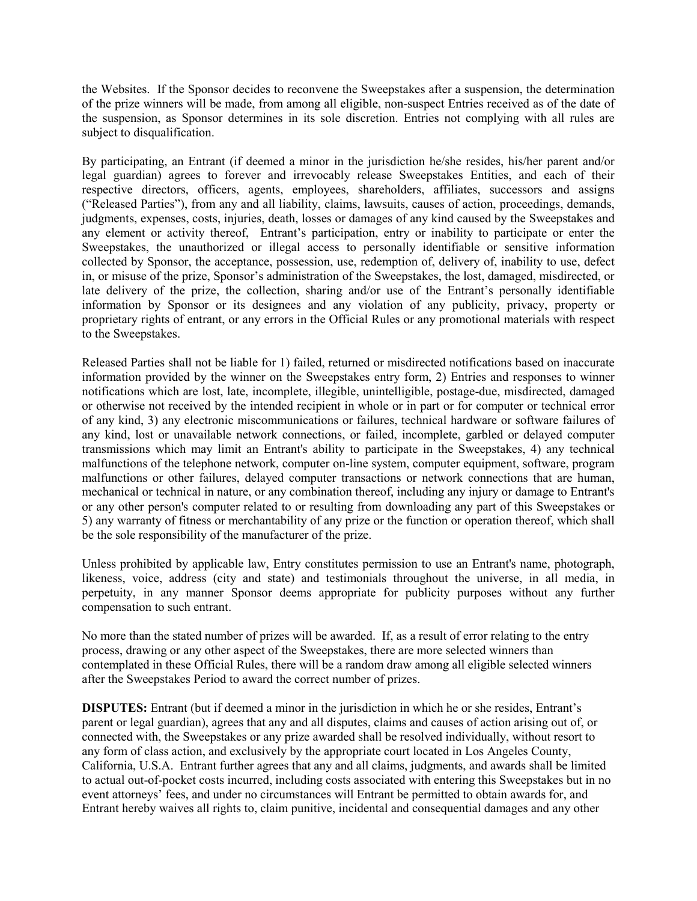the Websites. If the Sponsor decides to reconvene the Sweepstakes after a suspension, the determination of the prize winners will be made, from among all eligible, non-suspect Entries received as of the date of the suspension, as Sponsor determines in its sole discretion. Entries not complying with all rules are subject to disqualification.

By participating, an Entrant (if deemed a minor in the jurisdiction he/she resides, his/her parent and/or legal guardian) agrees to forever and irrevocably release Sweepstakes Entities, and each of their respective directors, officers, agents, employees, shareholders, affiliates, successors and assigns ("Released Parties"), from any and all liability, claims, lawsuits, causes of action, proceedings, demands, judgments, expenses, costs, injuries, death, losses or damages of any kind caused by the Sweepstakes and any element or activity thereof, Entrant's participation, entry or inability to participate or enter the Sweepstakes, the unauthorized or illegal access to personally identifiable or sensitive information collected by Sponsor, the acceptance, possession, use, redemption of, delivery of, inability to use, defect in, or misuse of the prize, Sponsor's administration of the Sweepstakes, the lost, damaged, misdirected, or late delivery of the prize, the collection, sharing and/or use of the Entrant's personally identifiable information by Sponsor or its designees and any violation of any publicity, privacy, property or proprietary rights of entrant, or any errors in the Official Rules or any promotional materials with respect to the Sweepstakes.

Released Parties shall not be liable for 1) failed, returned or misdirected notifications based on inaccurate information provided by the winner on the Sweepstakes entry form, 2) Entries and responses to winner notifications which are lost, late, incomplete, illegible, unintelligible, postage-due, misdirected, damaged or otherwise not received by the intended recipient in whole or in part or for computer or technical error of any kind, 3) any electronic miscommunications or failures, technical hardware or software failures of any kind, lost or unavailable network connections, or failed, incomplete, garbled or delayed computer transmissions which may limit an Entrant's ability to participate in the Sweepstakes, 4) any technical malfunctions of the telephone network, computer on-line system, computer equipment, software, program malfunctions or other failures, delayed computer transactions or network connections that are human, mechanical or technical in nature, or any combination thereof, including any injury or damage to Entrant's or any other person's computer related to or resulting from downloading any part of this Sweepstakes or 5) any warranty of fitness or merchantability of any prize or the function or operation thereof, which shall be the sole responsibility of the manufacturer of the prize.

Unless prohibited by applicable law, Entry constitutes permission to use an Entrant's name, photograph, likeness, voice, address (city and state) and testimonials throughout the universe, in all media, in perpetuity, in any manner Sponsor deems appropriate for publicity purposes without any further compensation to such entrant.

No more than the stated number of prizes will be awarded. If, as a result of error relating to the entry process, drawing or any other aspect of the Sweepstakes, there are more selected winners than contemplated in these Official Rules, there will be a random draw among all eligible selected winners after the Sweepstakes Period to award the correct number of prizes.

**DISPUTES:** Entrant (but if deemed a minor in the jurisdiction in which he or she resides, Entrant's parent or legal guardian), agrees that any and all disputes, claims and causes of action arising out of, or connected with, the Sweepstakes or any prize awarded shall be resolved individually, without resort to any form of class action, and exclusively by the appropriate court located in Los Angeles County, California, U.S.A. Entrant further agrees that any and all claims, judgments, and awards shall be limited to actual out-of-pocket costs incurred, including costs associated with entering this Sweepstakes but in no event attorneys' fees, and under no circumstances will Entrant be permitted to obtain awards for, and Entrant hereby waives all rights to, claim punitive, incidental and consequential damages and any other